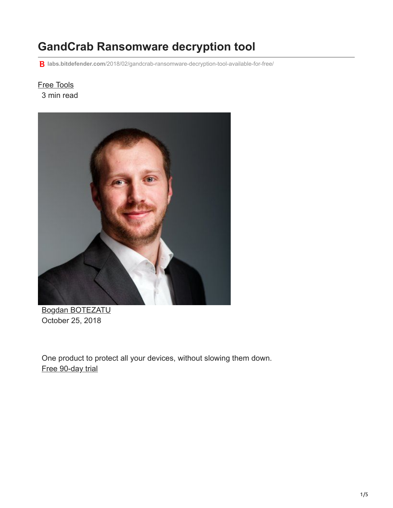# **GandCrab Ransomware decryption tool**

**labs.bitdefender.com**[/2018/02/gandcrab-ransomware-decryption-tool-available-for-free/](https://labs.bitdefender.com/2018/02/gandcrab-ransomware-decryption-tool-available-for-free/)

## [Free Tools](http://10.10.0.46/blog/labs/tag/free-tools/) 3 min read



[Bogdan BOTEZATU](http://10.10.0.46/blog/labs/author/bbotezatu/) October 25, 2018

One product to protect all your devices, without slowing them down. [Free 90-day trial](http://10.10.0.46/media/html/consumer/new/get-your-90-day-trial-opt/index.html)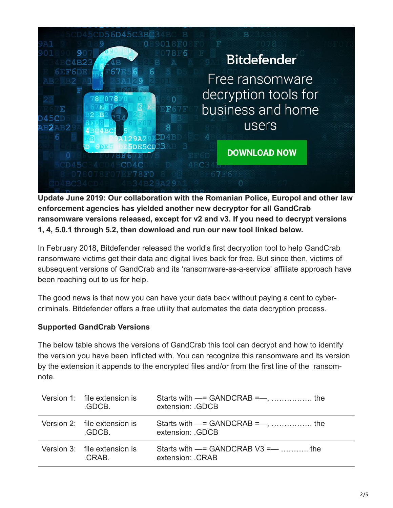

**Update June 2019: Our collaboration with the Romanian Police, Europol and other law enforcement agencies has yielded another new decryptor for all GandCrab ransomware versions released, except for v2 and v3. If you need to decrypt versions 1, 4, 5.0.1 through 5.2, then download and run our new tool linked below.**

In February 2018, Bitdefender released the world's first decryption tool to help GandCrab ransomware victims get their data and digital lives back for free. But since then, victims of subsequent versions of GandCrab and its 'ransomware-as-a-service' affiliate approach have been reaching out to us for help.

The good news is that now you can have your data back without paying a cent to cybercriminals. Bitdefender offers a free utility that automates the data decryption process.

### **Supported GandCrab Versions**

The below table shows the versions of GandCrab this tool can decrypt and how to identify the version you have been inflicted with. You can recognize this ransomware and its version by the extension it appends to the encrypted files and/or from the first line of the ransomnote.

| Version 1: file extension is<br>GDCB. | extension: GDCB                                             |
|---------------------------------------|-------------------------------------------------------------|
| Version 2: file extension is<br>GDCB. | extension: GDCB                                             |
| Version 3: file extension is<br>CRAB. | Starts with $==$ GANDCRAB V3 = $---$ the<br>extension: CRAB |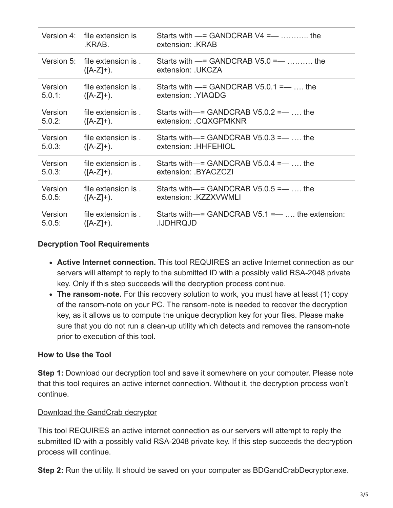|           | Version 4 file extension is<br>.KRAB.        | Starts with $-$ = GANDCRAB V4 = $-$ the<br>extension: KRAB |
|-----------|----------------------------------------------|------------------------------------------------------------|
|           | Version 5: file extension is<br>$([A-Z]+)$ . | Starts with $==$ GANDCRAB V5.0 =—  the<br>extension: UKCZA |
| Version   | file extension is .                          | Starts with $-$ = GANDCRAB V5.0.1 = $-$ the                |
| 5.0.1:    | $([A-Z]+)$ .                                 | extension: YIAQDG                                          |
| Version   | file extension is                            | Starts with $-$ = GANDCRAB V5.0.2 = $-$ the                |
| $5.0.2$ : | $([A-Z]+)$ .                                 | extension: .CQXGPMKNR                                      |
| Version   | file extension is                            | Starts with $-$ = GANDCRAB V5.0.3 = $-$ the                |
| $5.0.3$ : | $([A-Z]+)$ .                                 | extension: HHFEHIOL                                        |
| Version   | file extension is.                           | Starts with $-$ = GANDCRAB V5.0.4 = $-$ the                |
| 5.0.3:    | $([A-Z]+)$ .                                 | extension: BYACZCZI                                        |
| Version   | file extension is                            | Starts with $-$ = GANDCRAB V5.0.5 = $-$ the                |
| $5.0.5$ : | $([A-Z]+)$ .                                 | extension: KZZXVWMLI                                       |
| Version   | file extension is                            | Starts with $-$ = GANDCRAB V5.1 = $-$ the extension:       |
| 5.0.5:    | $([A-Z]+)$ .                                 | <b>IJDHRQJD</b>                                            |

#### **Decryption Tool Requirements**

- **Active Internet connection.** This tool REQUIRES an active Internet connection as our servers will attempt to reply to the submitted ID with a possibly valid RSA-2048 private key. Only if this step succeeds will the decryption process continue.
- **The ransom-note.** For this recovery solution to work, you must have at least (1) copy of the ransom-note on your PC. The ransom-note is needed to recover the decryption key, as it allows us to compute the unique decryption key for your files. Please make sure that you do not run a clean-up utility which detects and removes the ransom-note prior to execution of this tool.

#### **How to Use the Tool**

**Step 1:** Download our decryption tool and save it somewhere on your computer. Please note that this tool requires an active internet connection. Without it, the decryption process won't continue.

#### [Download the GandCrab decryptor](http://download.bitdefender.com/am/malware_removal/BDGandCrabDecryptTool.exe)

This tool REQUIRES an active internet connection as our servers will attempt to reply the submitted ID with a possibly valid RSA-2048 private key. If this step succeeds the decryption process will continue.

**Step 2:** Run the utility. It should be saved on your computer as BDGandCrabDecryptor.exe.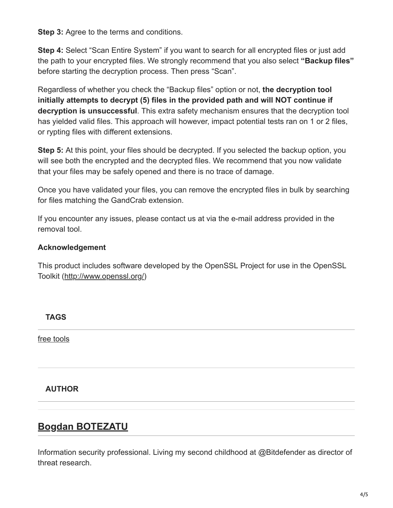**Step 3:** Agree to the terms and conditions.

**Step 4:** Select "Scan Entire System" if you want to search for all encrypted files or just add the path to your encrypted files. We strongly recommend that you also select **"Backup files"** before starting the decryption process. Then press "Scan".

Regardless of whether you check the "Backup files" option or not, **the decryption tool initially attempts to decrypt (5) files in the provided path and will NOT continue if decryption is unsuccessful**. This extra safety mechanism ensures that the decryption tool has yielded valid files. This approach will however, impact potential tests ran on 1 or 2 files, or rypting files with different extensions.

**Step 5:** At this point, your files should be decrypted. If you selected the backup option, you will see both the encrypted and the decrypted files. We recommend that you now validate that your files may be safely opened and there is no trace of damage.

Once you have validated your files, you can remove the encrypted files in bulk by searching for files matching the GandCrab extension.

If you encounter any issues, please contact us at via the e-mail address provided in the removal tool.

# **Acknowledgement**

This product includes software developed by the OpenSSL Project for use in the OpenSSL Toolkit [\(http://www.openssl.org/](http://www.openssl.org/))

**TAGS**

[free tools](http://10.10.0.46/blog/labs/tag/free-tools/)

# **AUTHOR**

# **[Bogdan BOTEZATU](http://10.10.0.46/blog/labs/author/bbotezatu/)**

[Information security professional. Living my second childh](http://10.10.0.46/blog/labs/author/bbotezatu/)ood at @Bitdefender as director of threat research.